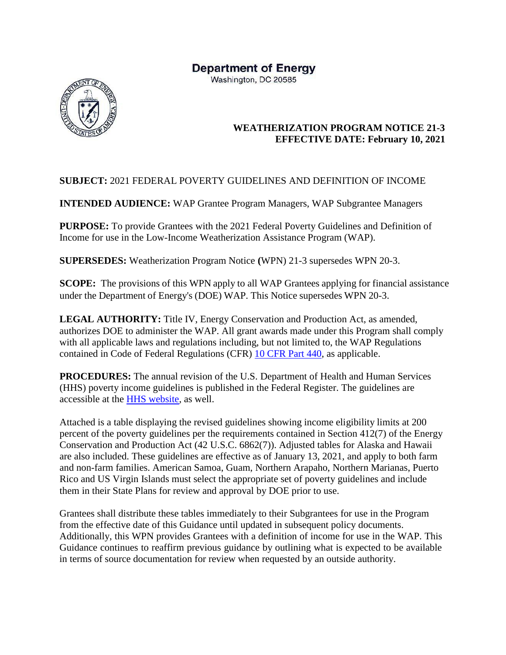# **Department of Energy**

Washington, DC 20585



# **WEATHERIZATION PROGRAM NOTICE 21-3 EFFECTIVE DATE: February 10, 2021**

# **SUBJECT:** 2021 FEDERAL POVERTY GUIDELINES AND DEFINITION OF INCOME

**INTENDED AUDIENCE:** WAP Grantee Program Managers, WAP Subgrantee Managers

**PURPOSE:** To provide Grantees with the 2021 Federal Poverty Guidelines and Definition of Income for use in the Low-Income Weatherization Assistance Program (WAP).

**SUPERSEDES:** Weatherization Program Notice **(**WPN) 21-3 supersedes WPN 20-3.

**SCOPE:** The provisions of this WPN apply to all WAP Grantees applying for financial assistance under the Department of Energy's (DOE) WAP. This Notice supersedes WPN 20-3.

**LEGAL AUTHORITY:** Title IV, Energy Conservation and Production Act, as amended, authorizes DOE to administer the WAP. All grant awards made under this Program shall comply with all applicable laws and regulations including, but not limited to, the WAP Regulations contained in Code of Federal Regulations (CFR) [10 CFR Part 440,](https://www.ecfr.gov/cgi-bin/text-idx?tpl=/ecfrbrowse/Title10/10cfr440_main_02.tpl) as applicable.

**PROCEDURES:** The annual revision of the U.S. Department of Health and Human Services (HHS) poverty income guidelines is published in the Federal Register. The guidelines are accessible at the [HHS website,](https://aspe.hhs.gov/poverty-guidelines) as well.

Attached is a table displaying the revised guidelines showing income eligibility limits at 200 percent of the poverty guidelines per the requirements contained in Section 412(7) of the Energy Conservation and Production Act (42 U.S.C. 6862(7)). Adjusted tables for Alaska and Hawaii are also included. These guidelines are effective as of January 13, 2021, and apply to both farm and non-farm families. American Samoa, Guam, Northern Arapaho, Northern Marianas, Puerto Rico and US Virgin Islands must select the appropriate set of poverty guidelines and include them in their State Plans for review and approval by DOE prior to use.

Grantees shall distribute these tables immediately to their Subgrantees for use in the Program from the effective date of this Guidance until updated in subsequent policy documents. Additionally, this WPN provides Grantees with a definition of income for use in the WAP. This Guidance continues to reaffirm previous guidance by outlining what is expected to be available in terms of source documentation for review when requested by an outside authority.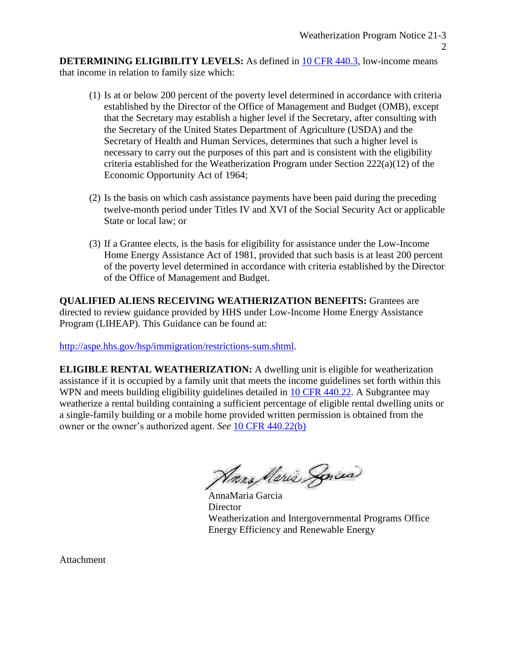**DETERMINING ELIGIBILITY LEVELS:** As defined in [10 CFR 440.3, l](https://www.ecfr.gov/cgi-bin/text-idx?SID=a47d455fd2330cc1c1580d171fb8d831&mc=true&node=se10.3.440_13&rgn=div8)ow-income means that income in relation to family size which:

- (1) Is at or below 200 percent of the poverty level determined in accordance with criteria established by the Director of the Office of Management and Budget (OMB), except that the Secretary may establish a higher level if the Secretary, after consulting with the Secretary of the United States Department of Agriculture (USDA) and the Secretary of Health and Human Services, determines that such a higher level is necessary to carry out the purposes of this part and is consistent with the eligibility criteria established for the Weatherization Program under Section 222(a)(12) of the Economic Opportunity Act of 1964;
- (2) Is the basis on which cash assistance payments have been paid during the preceding twelve-month period under Titles IV and XVI of the Social Security Act or applicable State or local law; or
- (3) If a Grantee elects, is the basis for eligibility for assistance under the Low-Income Home Energy Assistance Act of 1981, provided that such basis is at least 200 percent of the poverty level determined in accordance with criteria established by the Director of the Office of Management and Budget.

**QUALIFIED ALIENS RECEIVING WEATHERIZATION BENEFITS:** Grantees are directed to review guidance provided by HHS under Low-Income Home Energy Assistance Program (LIHEAP). This Guidance can be found at:

[http://aspe.hhs.gov/hsp/immigration/restrictions-sum.shtml.](http://aspe.hhs.gov/hsp/immigration/restrictions-sum.shtml)

**ELIGIBLE RENTAL WEATHERIZATION:** A dwelling unit is eligible for weatherization assistance if it is occupied by a family unit that meets the income guidelines set forth within this WPN and meets building eligibility guidelines detailed in [10 CFR 440.22.](https://www.ecfr.gov/cgi-bin/text-idx?SID=04c3ed3d9a2917cbf8fc0e7e86c3743a&mc=true&node=se10.3.440_122&rgn=div8) A Subgrantee may weatherize a rental building containing a sufficient percentage of eligible rental dwelling units or a single-family building or a mobile home provided written permission is obtained from the owner or the owner's authorized agent. *See* [10 CFR 440.22\(b\)](https://www.ecfr.gov/cgi-bin/text-idx?SID=04c3ed3d9a2917cbf8fc0e7e86c3743a&mc=true&node=se10.3.440_122&rgn=div8)

Harra Meria Sorcia

AnnaMaria Garcia **Director** Weatherization and Intergovernmental Programs Office Energy Efficiency and Renewable Energy

Attachment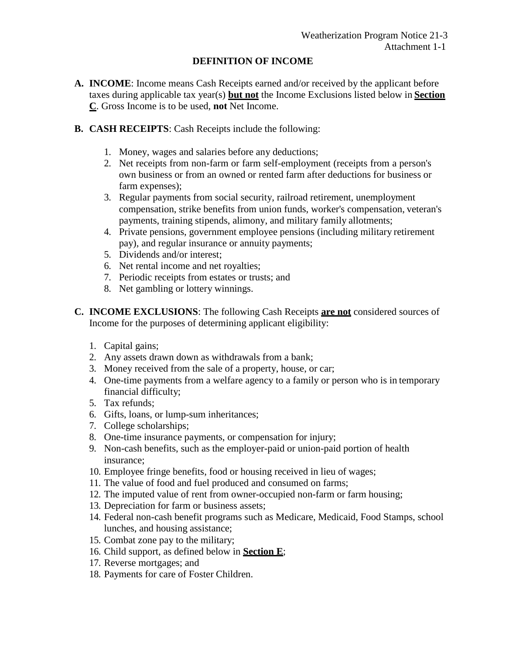## **DEFINITION OF INCOME**

- **A. INCOME**: Income means Cash Receipts earned and/or received by the applicant before taxes during applicable tax year(s) **but not** the Income Exclusions listed below in **Section C**. Gross Income is to be used, **not** Net Income.
- **B. CASH RECEIPTS**: Cash Receipts include the following:
	- 1. Money, wages and salaries before any deductions;
	- 2. Net receipts from non-farm or farm self-employment (receipts from a person's own business or from an owned or rented farm after deductions for business or farm expenses);
	- 3. Regular payments from social security, railroad retirement, unemployment compensation, strike benefits from union funds, worker's compensation, veteran's payments, training stipends, alimony, and military family allotments;
	- 4. Private pensions, government employee pensions (including military retirement pay), and regular insurance or annuity payments;
	- 5. Dividends and/or interest;
	- 6. Net rental income and net royalties;
	- 7. Periodic receipts from estates or trusts; and
	- 8. Net gambling or lottery winnings.
- **C. INCOME EXCLUSIONS**: The following Cash Receipts **are not** considered sources of Income for the purposes of determining applicant eligibility:
	- 1. Capital gains;
	- 2. Any assets drawn down as withdrawals from a bank;
	- 3. Money received from the sale of a property, house, or car;
	- 4. One-time payments from a welfare agency to a family or person who is in temporary financial difficulty;
	- 5. Tax refunds;
	- 6. Gifts, loans, or lump-sum inheritances;
	- 7. College scholarships;
	- 8. One-time insurance payments, or compensation for injury;
	- 9. Non-cash benefits, such as the employer-paid or union-paid portion of health insurance;
	- 10. Employee fringe benefits, food or housing received in lieu of wages;
	- 11. The value of food and fuel produced and consumed on farms;
	- 12. The imputed value of rent from owner-occupied non-farm or farm housing;
	- 13. Depreciation for farm or business assets;
	- 14. Federal non-cash benefit programs such as Medicare, Medicaid, Food Stamps, school lunches, and housing assistance;
	- 15. Combat zone pay to the military;
	- 16. Child support, as defined below in **Section E**;
	- 17. Reverse mortgages; and
	- 18. Payments for care of Foster Children.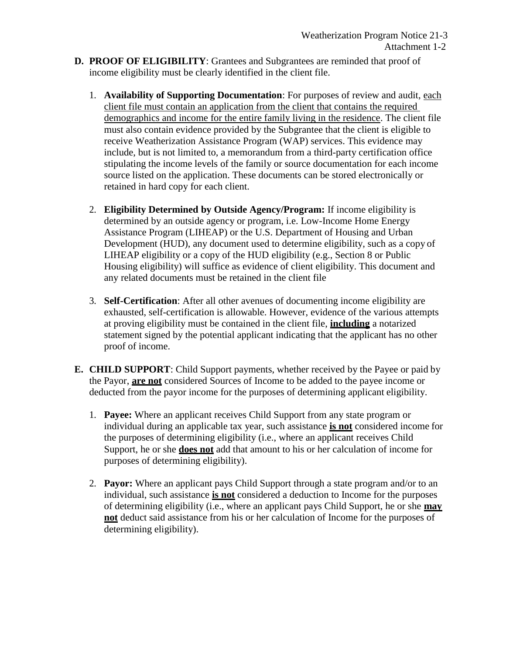- **D. PROOF OF ELIGIBILITY**: Grantees and Subgrantees are reminded that proof of income eligibility must be clearly identified in the client file.
	- 1. **Availability of Supporting Documentation**: For purposes of review and audit, each client file must contain an application from the client that contains the required demographics and income for the entire family living in the residence. The client file must also contain evidence provided by the Subgrantee that the client is eligible to receive Weatherization Assistance Program (WAP) services. This evidence may include, but is not limited to, a memorandum from a third-party certification office stipulating the income levels of the family or source documentation for each income source listed on the application. These documents can be stored electronically or retained in hard copy for each client.
	- 2. **Eligibility Determined by Outside Agency/Program:** If income eligibility is determined by an outside agency or program, i.e. Low-Income Home Energy Assistance Program (LIHEAP) or the U.S. Department of Housing and Urban Development (HUD), any document used to determine eligibility, such as a copy of LIHEAP eligibility or a copy of the HUD eligibility (e.g., Section 8 or Public Housing eligibility) will suffice as evidence of client eligibility. This document and any related documents must be retained in the client file
	- 3. **Self-Certification**: After all other avenues of documenting income eligibility are exhausted, self-certification is allowable. However, evidence of the various attempts at proving eligibility must be contained in the client file, **including** a notarized statement signed by the potential applicant indicating that the applicant has no other proof of income.
- **E. CHILD SUPPORT**: Child Support payments, whether received by the Payee or paid by the Payor, **are not** considered Sources of Income to be added to the payee income or deducted from the payor income for the purposes of determining applicant eligibility.
	- 1. **Payee:** Where an applicant receives Child Support from any state program or individual during an applicable tax year, such assistance **is not** considered income for the purposes of determining eligibility (i.e., where an applicant receives Child Support, he or she **does not** add that amount to his or her calculation of income for purposes of determining eligibility).
	- 2. **Payor:** Where an applicant pays Child Support through a state program and/or to an individual, such assistance **is not** considered a deduction to Income for the purposes of determining eligibility (i.e., where an applicant pays Child Support, he or she **may not** deduct said assistance from his or her calculation of Income for the purposes of determining eligibility).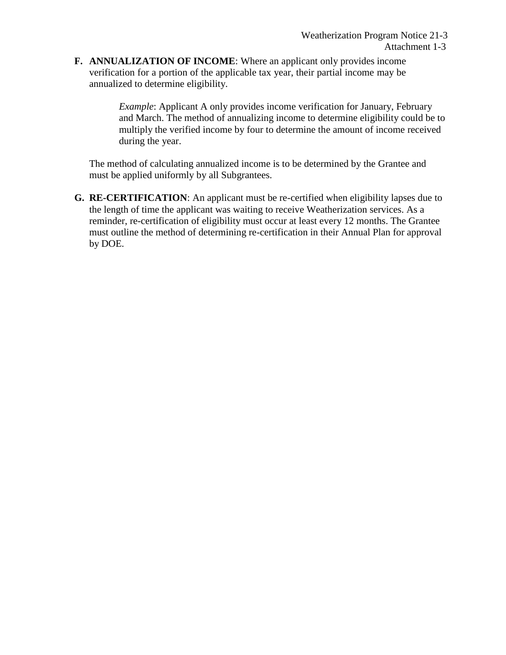**F. ANNUALIZATION OF INCOME**: Where an applicant only provides income verification for a portion of the applicable tax year, their partial income may be annualized to determine eligibility.

> *Example*: Applicant A only provides income verification for January, February and March. The method of annualizing income to determine eligibility could be to multiply the verified income by four to determine the amount of income received during the year.

The method of calculating annualized income is to be determined by the Grantee and must be applied uniformly by all Subgrantees.

**G. RE-CERTIFICATION**: An applicant must be re-certified when eligibility lapses due to the length of time the applicant was waiting to receive Weatherization services. As a reminder, re-certification of eligibility must occur at least every 12 months. The Grantee must outline the method of determining re-certification in their Annual Plan for approval by DOE.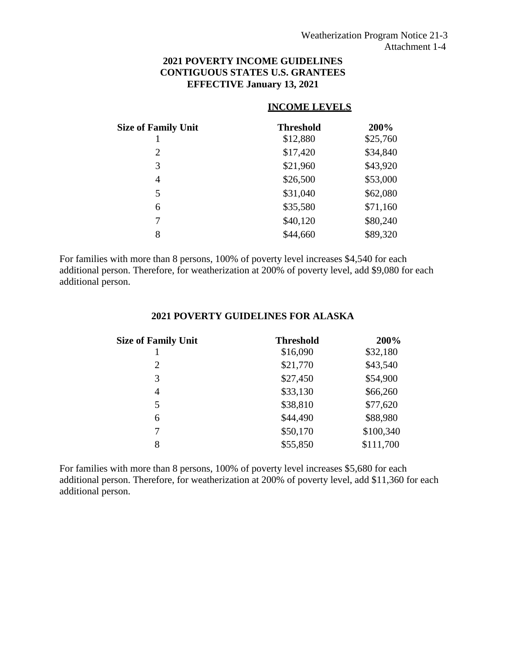## **2021 POVERTY INCOME GUIDELINES CONTIGUOUS STATES U.S. GRANTEES EFFECTIVE January 13, 2021**

# **INCOME LEVELS**

| <b>Size of Family Unit</b> | <b>Threshold</b> | 200%     |
|----------------------------|------------------|----------|
|                            | \$12,880         | \$25,760 |
| 2                          | \$17,420         | \$34,840 |
| 3                          | \$21,960         | \$43,920 |
| 4                          | \$26,500         | \$53,000 |
| 5                          | \$31,040         | \$62,080 |
| 6                          | \$35,580         | \$71,160 |
| 7                          | \$40,120         | \$80,240 |
| 8                          | \$44,660         | \$89,320 |

For families with more than 8 persons, 100% of poverty level increases \$4,540 for each additional person. Therefore, for weatherization at 200% of poverty level, add \$9,080 for each additional person.

## **2021 POVERTY GUIDELINES FOR ALASKA**

| <b>Threshold</b> | 200%      |
|------------------|-----------|
| \$16,090         | \$32,180  |
| \$21,770         | \$43,540  |
| \$27,450         | \$54,900  |
| \$33,130         | \$66,260  |
| \$38,810         | \$77,620  |
| \$44,490         | \$88,980  |
| \$50,170         | \$100,340 |
| \$55,850         | \$111,700 |
|                  |           |

For families with more than 8 persons, 100% of poverty level increases \$5,680 for each additional person. Therefore, for weatherization at 200% of poverty level, add \$11,360 for each additional person.